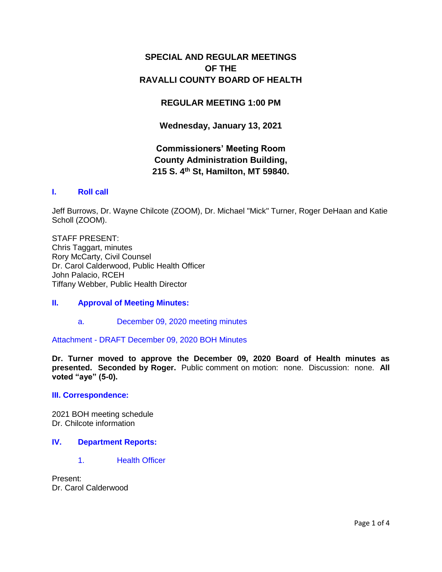## **SPECIAL AND REGULAR MEETINGS OF THE RAVALLI COUNTY BOARD OF HEALTH**

## **REGULAR MEETING 1:00 PM**

**Wednesday, January 13, 2021**

# **Commissioners' Meeting Room County Administration Building, 215 S. 4th St, Hamilton, MT 59840.**

## **I. [Roll call](http://ravalli-mt.granicus.com/wordlinkreceiver.php?clip_id=1eded3e1-ad04-4a03-8597-7e46afcb906a&meta_id=04a730c7-d4f0-40c9-b7b3-95f8eec18e76&time=44)**

Jeff Burrows, Dr. Wayne Chilcote (ZOOM), Dr. Michael "Mick" Turner, Roger DeHaan and Katie Scholl (ZOOM).

STAFF PRESENT: Chris Taggart, minutes Rory McCarty, Civil Counsel Dr. Carol Calderwood, Public Health Officer John Palacio, RCEH Tiffany Webber, Public Health Director

## **II. [Approval of Meeting Minutes:](http://ravalli-mt.granicus.com/wordlinkreceiver.php?clip_id=1eded3e1-ad04-4a03-8597-7e46afcb906a&meta_id=20ab17ff-bbeb-4de0-8eb1-a8c01ce339bf&time=102)**

a. [December 09, 2020 meeting minutes](http://ravalli-mt.granicus.com/wordlinkreceiver.php?clip_id=1eded3e1-ad04-4a03-8597-7e46afcb906a&meta_id=c51d2422-7ca9-46dd-a412-2789d70ce725&time=129)

Attachment - [DRAFT December 09, 2020 BOH Minutes](http://ravalli-mt.granicus.com/DocumentViewer.php?file=ravalli-mt_0b5266ec5555b0aa6a8b7b8fd7b27e2b.pdf)

**Dr. Turner moved to approve the December 09, 2020 Board of Health minutes as presented. Seconded by Roger.** Public comment on motion: none. Discussion: none. **All voted "aye" (5-0).** 

#### **[III. Correspondence:](http://ravalli-mt.granicus.com/wordlinkreceiver.php?clip_id=1eded3e1-ad04-4a03-8597-7e46afcb906a&meta_id=7d1e6d08-712a-434b-850a-84f50caeb1ea&time=146)**

2021 BOH meeting schedule Dr. Chilcote information

### **IV. [Department Reports:](http://ravalli-mt.granicus.com/wordlinkreceiver.php?clip_id=1eded3e1-ad04-4a03-8597-7e46afcb906a&meta_id=2d01f0c5-e2ad-4660-a342-6c1bb4c19fd3&time=236)**

1. [Health Officer](http://ravalli-mt.granicus.com/wordlinkreceiver.php?clip_id=1eded3e1-ad04-4a03-8597-7e46afcb906a&meta_id=eb1ca1c1-8817-4675-bbf2-3f33a0e3cf6b&time=240)

Present: Dr. Carol Calderwood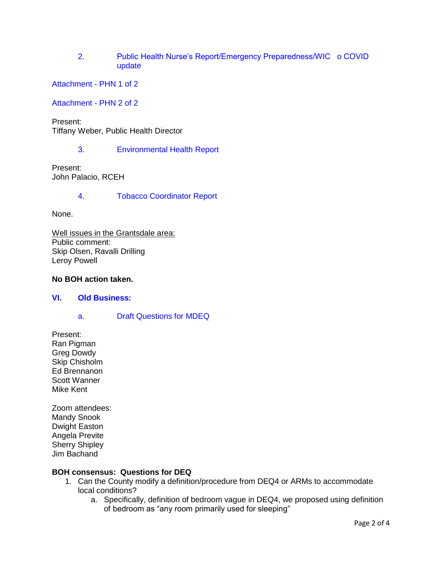2. [Public Health Nurse's Report/Emergency Preparedness/WIC o COVID](http://ravalli-mt.granicus.com/wordlinkreceiver.php?clip_id=1eded3e1-ad04-4a03-8597-7e46afcb906a&meta_id=02f2bda8-17e4-46cb-a498-205cce8a99ec&time=324)  [update](http://ravalli-mt.granicus.com/wordlinkreceiver.php?clip_id=1eded3e1-ad04-4a03-8597-7e46afcb906a&meta_id=02f2bda8-17e4-46cb-a498-205cce8a99ec&time=324)

[Attachment -](http://ravalli-mt.granicus.com/DocumentViewer.php?file=ravalli-mt_a7b0ddb6d285f7cdbd01dd4280d87a41.pdf) PHN 1 of 2

[Attachment -](http://ravalli-mt.granicus.com/DocumentViewer.php?file=ravalli-mt_b84af1b663a9f37509f7367e75a27b1f.pdf) PHN 2 of 2

Present: Tiffany Weber, Public Health Director

3. [Environmental Health](http://ravalli-mt.granicus.com/wordlinkreceiver.php?clip_id=1eded3e1-ad04-4a03-8597-7e46afcb906a&meta_id=8dd02bfd-7b6d-477c-88f6-25f7f2ac0233&time=1582) Report

Present: John Palacio, RCEH

4. [Tobacco Coordinator Report](http://ravalli-mt.granicus.com/wordlinkreceiver.php?clip_id=1eded3e1-ad04-4a03-8597-7e46afcb906a&meta_id=26245ea2-db2c-4b83-aac2-22e2d37b7a9b&time=1781)

None.

Well issues in the Grantsdale area: Public comment: Skip Olsen, Ravalli Drilling Leroy Powell

### **No BOH action taken.**

#### **VI. [Old Business:](http://ravalli-mt.granicus.com/wordlinkreceiver.php?clip_id=1eded3e1-ad04-4a03-8597-7e46afcb906a&meta_id=fd7b07b6-8cfe-4161-a96c-00029ff1ae9b&time=2782)**

a. [Draft Questions for MDEQ](http://ravalli-mt.granicus.com/wordlinkreceiver.php?clip_id=1eded3e1-ad04-4a03-8597-7e46afcb906a&meta_id=ffb87356-4e62-40f2-af0c-89c55588d302&time=2844)

Present: Ran Pigman Greg Dowdy Skip Chisholm Ed Brennanon Scott Wanner Mike Kent

Zoom attendees: Mandy Snook Dwight Easton Angela Previte Sherry Shipley Jim Bachand

#### **BOH consensus: Questions for DEQ**

- 1. Can the County modify a definition/procedure from DEQ4 or ARMs to accommodate local conditions?
	- a. Specifically, definition of bedroom vague in DEQ4, we proposed using definition of bedroom as "any room primarily used for sleeping"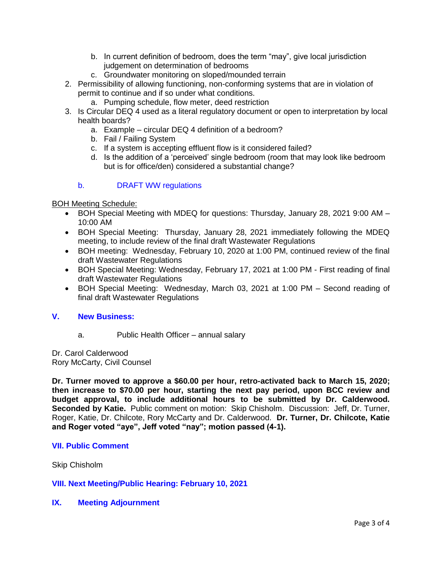- b. In current definition of bedroom, does the term "may", give local jurisdiction judgement on determination of bedrooms
- c. Groundwater monitoring on sloped/mounded terrain
- 2. Permissibility of allowing functioning, non-conforming systems that are in violation of permit to continue and if so under what conditions.
	- a. Pumping schedule, flow meter, deed restriction
- 3. Is Circular DEQ 4 used as a literal regulatory document or open to interpretation by local health boards?
	- a. Example circular DEQ 4 definition of a bedroom?
	- b. Fail / Failing System
	- c. If a system is accepting effluent flow is it considered failed?
	- d. Is the addition of a 'perceived' single bedroom (room that may look like bedroom but is for office/den) considered a substantial change?

#### b. [DRAFT WW regulations](http://ravalli-mt.granicus.com/wordlinkreceiver.php?clip_id=1eded3e1-ad04-4a03-8597-7e46afcb906a&meta_id=86de6377-08e6-4be7-9f5e-3afef8cf95ec&time=8744)

#### BOH Meeting Schedule:

- BOH Special Meeting with MDEQ for questions: Thursday, January 28, 2021 9:00 AM 10:00 AM
- BOH Special Meeting: Thursday, January 28, 2021 immediately following the MDEQ meeting, to include review of the final draft Wastewater Regulations
- BOH meeting: Wednesday, February 10, 2020 at 1:00 PM, continued review of the final draft Wastewater Regulations
- BOH Special Meeting: Wednesday, February 17, 2021 at 1:00 PM First reading of final draft Wastewater Regulations
- BOH Special Meeting: Wednesday, March 03, 2021 at 1:00 PM Second reading of final draft Wastewater Regulations

#### **V. [New Business:](http://ravalli-mt.granicus.com/wordlinkreceiver.php?clip_id=1eded3e1-ad04-4a03-8597-7e46afcb906a&meta_id=0b2bc690-7d74-432e-b5c7-375e2040e0d4&time=8750)**

a. Public Health Officer – annual salary

Dr. Carol Calderwood Rory McCarty, Civil Counsel

**Dr. Turner moved to approve a \$60.00 per hour, retro-activated back to March 15, 2020; then increase to \$70.00 per hour, starting the next pay period, upon BCC review and budget approval, to include additional hours to be submitted by Dr. Calderwood. Seconded by Katie.** Public comment on motion: Skip Chisholm. Discussion: Jeff, Dr. Turner, Roger, Katie, Dr. Chilcote, Rory McCarty and Dr. Calderwood. **Dr. Turner, Dr. Chilcote, Katie and Roger voted "aye", Jeff voted "nay"; motion passed (4-1).**

#### **[VII. Public Comment](http://ravalli-mt.granicus.com/wordlinkreceiver.php?clip_id=1eded3e1-ad04-4a03-8597-7e46afcb906a&meta_id=6fb958d7-e54c-47ca-9126-e46b2990f32e&time=11439)**

Skip Chisholm

#### **[VIII. Next Meeting/Public Hearing: February 10, 2021](http://ravalli-mt.granicus.com/wordlinkreceiver.php?clip_id=1eded3e1-ad04-4a03-8597-7e46afcb906a&meta_id=a28ad41e-72cd-47da-a02c-09d092bd4c10&time=11881)**

#### **IX. [Meeting Adjournment](http://ravalli-mt.granicus.com/wordlinkreceiver.php?clip_id=1eded3e1-ad04-4a03-8597-7e46afcb906a&meta_id=e9580644-06c8-40ba-9b21-83fab6edef50&time=11884)**